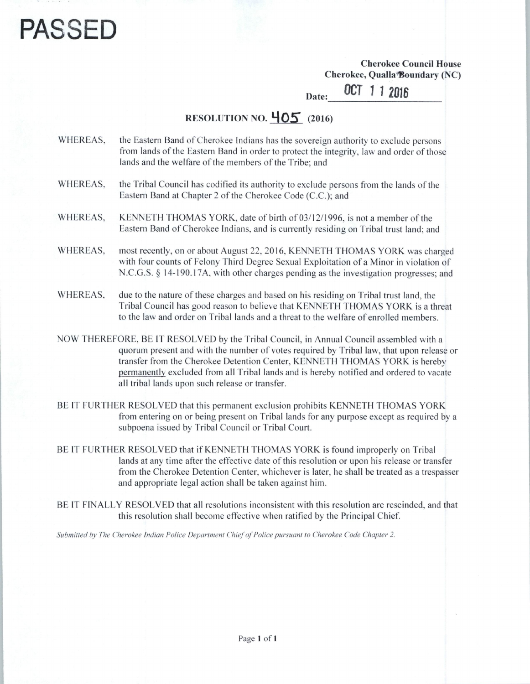## PASSEI

*Cherokee Council House Cherokee, Qualla'floundary (NC)*

*Date; OCT 112016*

## **RESOLUTION NO.**  $\frac{405}{60}$  (2016)

## WHEREAS, the Eastern Band of Cherokee Indians has the sovereign authority to exclude persons from lands of the Eastern Band in order to protect the integrity, law and order of those lands and the welfare of the members of the Tribe; and

WHEREAS. the Tribal Council has codified its authority to exclude persons from the lands of the Eastern Band at Chapter 2 of the Cherokee Code (C.C.); and

WHEREAS, KENNETH THOMAS YORK, date of birth of 03/12/1996, is not a member of the Eastern Band of Cherokee Indians, and is currently residing on Tribal trust land; and

- WHEREAS, most recently, on or about August 22, 2016, KENNETH THOMAS YORK was charged with four counts of Felony Third Degree Sexual Exploitation of a Minor in violation of N.C.G.S. § 14-190.17A, with other charges pending as the investigation progresses; and
- WHEREAS, due to the nature of these charges and based on his residing on Tribal trust land, the Tribal Council has good reason to believe that KENNETH THOMAS YORK is a threat to the law and order on Tribal lands and a threat to the welfare of enrolled members.
- NOW THEREFORE, BE IT RESOLVED by the Tribal Council, in Annual Council assembled with a quorum present and with the number of votes required by Tribal law, that upon release or transfer from the Cherokee Detention Center, KENNETH THOMAS YORK is hereby permanently excluded from all Tribal lands and is hereby notified and ordered to vacate all tribal lands upon such release or transfer.
- BE IT FURTHER RESOLVED that this permanent exclusion prohibits KENNETH THOMAS YORK from entering on or being present on Tribal lands for any purpose except as required by a subpoena issued by Tribal Council or Tribal Court.
- BE IT FURTHER RESOLVED that if KENNETH THOMAS YORK is found improperly on Tribal lands at any time after the effective date of this resolution or upon his release or transfer from the Cherokee Detention Center, whichever is later, he shall be treated as a trespasser and appropriate legal action shall be taken against him.
- BE IT FINALLY RESOLVED that all resolutions inconsistent with this resolution are rescinded, and that this resolution shall become effective when ratified by the Principal Chief.

**Submitted by The Cherokee Indian Police Department ChiefofPolice pursuant to Cherokee Code Chapter 2.**